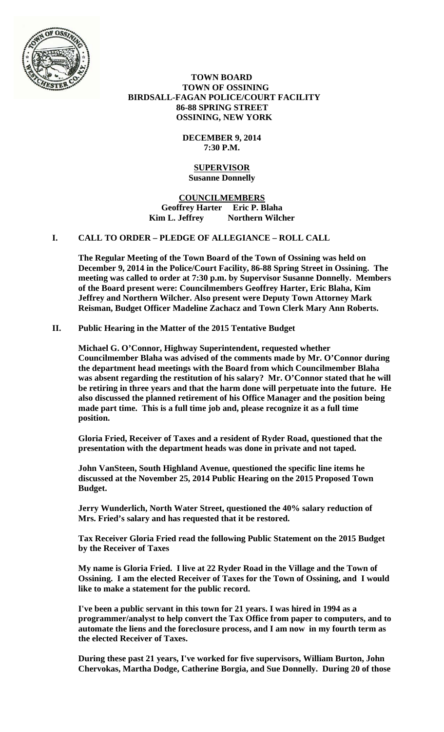

 **TOWN BOARD TOWN OF OSSINING BIRDSALL-FAGAN POLICE/COURT FACILITY 86-88 SPRING STREET OSSINING, NEW YORK** 

> **DECEMBER 9, 2014 7:30 P.M.**

#### **SUPERVISOR Susanne Donnelly**

**COUNCILMEMBERS Geoffrey Harter Eric P. Blaha**  Kim L. Jeffrey Northern Wilcher

# **I. CALL TO ORDER – PLEDGE OF ALLEGIANCE – ROLL CALL**

**The Regular Meeting of the Town Board of the Town of Ossining was held on December 9, 2014 in the Police/Court Facility, 86-88 Spring Street in Ossining. The meeting was called to order at 7:30 p.m. by Supervisor Susanne Donnelly. Members of the Board present were: Councilmembers Geoffrey Harter, Eric Blaha, Kim Jeffrey and Northern Wilcher. Also present were Deputy Town Attorney Mark Reisman, Budget Officer Madeline Zachacz and Town Clerk Mary Ann Roberts.** 

# **II. Public Hearing in the Matter of the 2015 Tentative Budget**

**Michael G. O'Connor, Highway Superintendent, requested whether Councilmember Blaha was advised of the comments made by Mr. O'Connor during the department head meetings with the Board from which Councilmember Blaha was absent regarding the restitution of his salary? Mr. O'Connor stated that he will be retiring in three years and that the harm done will perpetuate into the future. He also discussed the planned retirement of his Office Manager and the position being made part time. This is a full time job and, please recognize it as a full time position.** 

**Gloria Fried, Receiver of Taxes and a resident of Ryder Road, questioned that the presentation with the department heads was done in private and not taped.** 

**John VanSteen, South Highland Avenue, questioned the specific line items he discussed at the November 25, 2014 Public Hearing on the 2015 Proposed Town Budget.** 

**Jerry Wunderlich, North Water Street, questioned the 40% salary reduction of Mrs. Fried's salary and has requested that it be restored.** 

**Tax Receiver Gloria Fried read the following Public Statement on the 2015 Budget by the Receiver of Taxes** 

**My name is Gloria Fried. I live at 22 Ryder Road in the Village and the Town of Ossining. I am the elected Receiver of Taxes for the Town of Ossining, and I would like to make a statement for the public record.** 

**I've been a public servant in this town for 21 years. I was hired in 1994 as a programmer/analyst to help convert the Tax Office from paper to computers, and to automate the liens and the foreclosure process, and I am now in my fourth term as the elected Receiver of Taxes.** 

**During these past 21 years, I've worked for five supervisors, William Burton, John Chervokas, Martha Dodge, Catherine Borgia, and Sue Donnelly. During 20 of those**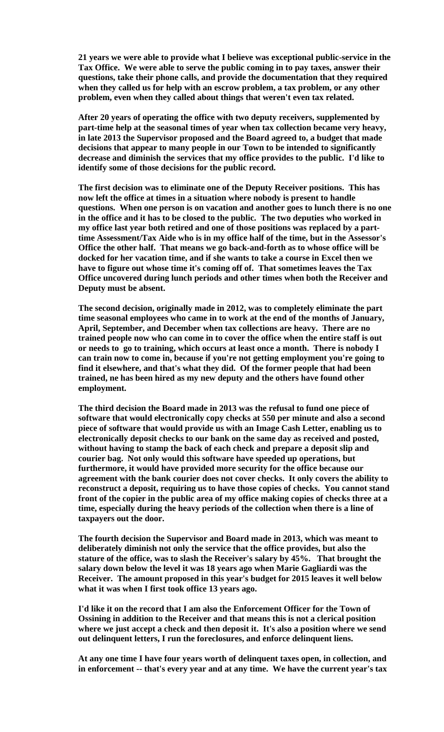**21 years we were able to provide what I believe was exceptional public-service in the Tax Office. We were able to serve the public coming in to pay taxes, answer their questions, take their phone calls, and provide the documentation that they required when they called us for help with an escrow problem, a tax problem, or any other problem, even when they called about things that weren't even tax related.** 

**After 20 years of operating the office with two deputy receivers, supplemented by part-time help at the seasonal times of year when tax collection became very heavy, in late 2013 the Supervisor proposed and the Board agreed to, a budget that made decisions that appear to many people in our Town to be intended to significantly decrease and diminish the services that my office provides to the public. I'd like to identify some of those decisions for the public record.** 

**The first decision was to eliminate one of the Deputy Receiver positions. This has now left the office at times in a situation where nobody is present to handle questions. When one person is on vacation and another goes to lunch there is no one in the office and it has to be closed to the public. The two deputies who worked in my office last year both retired and one of those positions was replaced by a parttime Assessment/Tax Aide who is in my office half of the time, but in the Assessor's Office the other half. That means we go back-and-forth as to whose office will be docked for her vacation time, and if she wants to take a course in Excel then we have to figure out whose time it's coming off of. That sometimes leaves the Tax Office uncovered during lunch periods and other times when both the Receiver and Deputy must be absent.** 

**The second decision, originally made in 2012, was to completely eliminate the part time seasonal employees who came in to work at the end of the months of January, April, September, and December when tax collections are heavy. There are no trained people now who can come in to cover the office when the entire staff is out or needs to go to training, which occurs at least once a month. There is nobody I can train now to come in, because if you're not getting employment you're going to find it elsewhere, and that's what they did. Of the former people that had been trained, ne has been hired as my new deputy and the others have found other employment.** 

**The third decision the Board made in 2013 was the refusal to fund one piece of software that would electronically copy checks at 550 per minute and also a second piece of software that would provide us with an Image Cash Letter, enabling us to electronically deposit checks to our bank on the same day as received and posted, without having to stamp the back of each check and prepare a deposit slip and courier bag. Not only would this software have speeded up operations, but furthermore, it would have provided more security for the office because our agreement with the bank courier does not cover checks. It only covers the ability to reconstruct a deposit, requiring us to have those copies of checks. You cannot stand front of the copier in the public area of my office making copies of checks three at a time, especially during the heavy periods of the collection when there is a line of taxpayers out the door.** 

**The fourth decision the Supervisor and Board made in 2013, which was meant to deliberately diminish not only the service that the office provides, but also the stature of the office, was to slash the Receiver's salary by 45%. That brought the salary down below the level it was 18 years ago when Marie Gagliardi was the Receiver. The amount proposed in this year's budget for 2015 leaves it well below what it was when I first took office 13 years ago.** 

**I'd like it on the record that I am also the Enforcement Officer for the Town of Ossining in addition to the Receiver and that means this is not a clerical position where we just accept a check and then deposit it. It's also a position where we send out delinquent letters, I run the foreclosures, and enforce delinquent liens.** 

**At any one time I have four years worth of delinquent taxes open, in collection, and in enforcement -- that's every year and at any time. We have the current year's tax**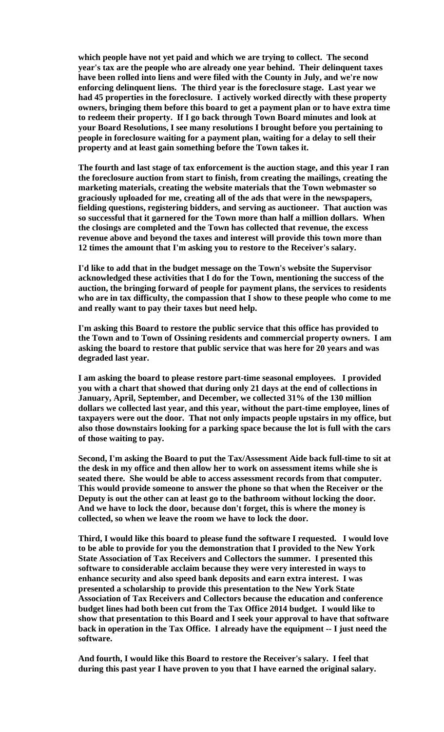**which people have not yet paid and which we are trying to collect. The second year's tax are the people who are already one year behind. Their delinquent taxes have been rolled into liens and were filed with the County in July, and we're now enforcing delinquent liens. The third year is the foreclosure stage. Last year we had 45 properties in the foreclosure. I actively worked directly with these property owners, bringing them before this board to get a payment plan or to have extra time to redeem their property. If I go back through Town Board minutes and look at your Board Resolutions, I see many resolutions I brought before you pertaining to people in foreclosure waiting for a payment plan, waiting for a delay to sell their property and at least gain something before the Town takes it.** 

**The fourth and last stage of tax enforcement is the auction stage, and this year I ran the foreclosure auction from start to finish, from creating the mailings, creating the marketing materials, creating the website materials that the Town webmaster so graciously uploaded for me, creating all of the ads that were in the newspapers, fielding questions, registering bidders, and serving as auctioneer. That auction was so successful that it garnered for the Town more than half a million dollars. When the closings are completed and the Town has collected that revenue, the excess revenue above and beyond the taxes and interest will provide this town more than 12 times the amount that I'm asking you to restore to the Receiver's salary.** 

**I'd like to add that in the budget message on the Town's website the Supervisor acknowledged these activities that I do for the Town, mentioning the success of the auction, the bringing forward of people for payment plans, the services to residents who are in tax difficulty, the compassion that I show to these people who come to me and really want to pay their taxes but need help.** 

**I'm asking this Board to restore the public service that this office has provided to the Town and to Town of Ossining residents and commercial property owners. I am asking the board to restore that public service that was here for 20 years and was degraded last year.** 

**I am asking the board to please restore part-time seasonal employees. I provided you with a chart that showed that during only 21 days at the end of collections in January, April, September, and December, we collected 31% of the 130 million dollars we collected last year, and this year, without the part-time employee, lines of taxpayers were out the door. That not only impacts people upstairs in my office, but also those downstairs looking for a parking space because the lot is full with the cars of those waiting to pay.** 

**Second, I'm asking the Board to put the Tax/Assessment Aide back full-time to sit at the desk in my office and then allow her to work on assessment items while she is seated there. She would be able to access assessment records from that computer. This would provide someone to answer the phone so that when the Receiver or the Deputy is out the other can at least go to the bathroom without locking the door. And we have to lock the door, because don't forget, this is where the money is collected, so when we leave the room we have to lock the door.** 

**Third, I would like this board to please fund the software I requested. I would love to be able to provide for you the demonstration that I provided to the New York State Association of Tax Receivers and Collectors the summer. I presented this software to considerable acclaim because they were very interested in ways to enhance security and also speed bank deposits and earn extra interest. I was presented a scholarship to provide this presentation to the New York State Association of Tax Receivers and Collectors because the education and conference budget lines had both been cut from the Tax Office 2014 budget. I would like to show that presentation to this Board and I seek your approval to have that software back in operation in the Tax Office. I already have the equipment -- I just need the software.** 

**And fourth, I would like this Board to restore the Receiver's salary. I feel that during this past year I have proven to you that I have earned the original salary.**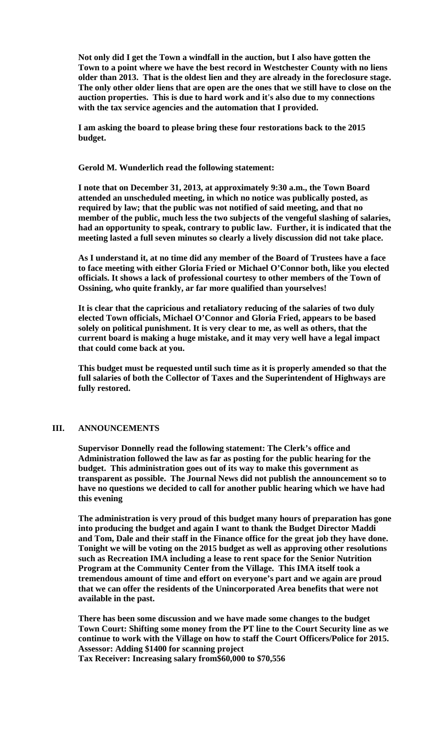**Not only did I get the Town a windfall in the auction, but I also have gotten the Town to a point where we have the best record in Westchester County with no liens older than 2013. That is the oldest lien and they are already in the foreclosure stage. The only other older liens that are open are the ones that we still have to close on the auction properties. This is due to hard work and it's also due to my connections with the tax service agencies and the automation that I provided.** 

**I am asking the board to please bring these four restorations back to the 2015 budget.** 

**Gerold M. Wunderlich read the following statement:** 

**I note that on December 31, 2013, at approximately 9:30 a.m., the Town Board attended an unscheduled meeting, in which no notice was publically posted, as required by law; that the public was not notified of said meeting, and that no member of the public, much less the two subjects of the vengeful slashing of salaries, had an opportunity to speak, contrary to public law. Further, it is indicated that the meeting lasted a full seven minutes so clearly a lively discussion did not take place.** 

**As I understand it, at no time did any member of the Board of Trustees have a face to face meeting with either Gloria Fried or Michael O'Connor both, like you elected officials. It shows a lack of professional courtesy to other members of the Town of Ossining, who quite frankly, ar far more qualified than yourselves!** 

**It is clear that the capricious and retaliatory reducing of the salaries of two duly elected Town officials, Michael O'Connor and Gloria Fried, appears to be based solely on political punishment. It is very clear to me, as well as others, that the current board is making a huge mistake, and it may very well have a legal impact that could come back at you.** 

**This budget must be requested until such time as it is properly amended so that the full salaries of both the Collector of Taxes and the Superintendent of Highways are fully restored.** 

## **III. ANNOUNCEMENTS**

**Supervisor Donnelly read the following statement: The Clerk's office and Administration followed the law as far as posting for the public hearing for the budget. This administration goes out of its way to make this government as transparent as possible. The Journal News did not publish the announcement so to have no questions we decided to call for another public hearing which we have had this evening** 

**The administration is very proud of this budget many hours of preparation has gone into producing the budget and again I want to thank the Budget Director Maddi and Tom, Dale and their staff in the Finance office for the great job they have done. Tonight we will be voting on the 2015 budget as well as approving other resolutions such as Recreation IMA including a lease to rent space for the Senior Nutrition Program at the Community Center from the Village. This IMA itself took a tremendous amount of time and effort on everyone's part and we again are proud that we can offer the residents of the Unincorporated Area benefits that were not available in the past.** 

**There has been some discussion and we have made some changes to the budget Town Court: Shifting some money from the PT line to the Court Security line as we continue to work with the Village on how to staff the Court Officers/Police for 2015. Assessor: Adding \$1400 for scanning project** 

**Tax Receiver: Increasing salary from\$60,000 to \$70,556**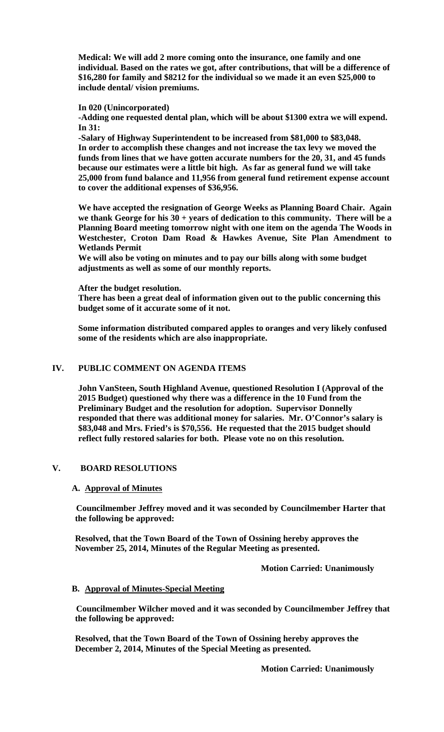**Medical: We will add 2 more coming onto the insurance, one family and one individual. Based on the rates we got, after contributions, that will be a difference of \$16,280 for family and \$8212 for the individual so we made it an even \$25,000 to include dental/ vision premiums.** 

#### **In 020 (Unincorporated)**

**-Adding one requested dental plan, which will be about \$1300 extra we will expend. In 31:** 

**-Salary of Highway Superintendent to be increased from \$81,000 to \$83,048. In order to accomplish these changes and not increase the tax levy we moved the funds from lines that we have gotten accurate numbers for the 20, 31, and 45 funds because our estimates were a little bit high. As far as general fund we will take 25,000 from fund balance and 11,956 from general fund retirement expense account to cover the additional expenses of \$36,956.** 

**We have accepted the resignation of George Weeks as Planning Board Chair. Again we thank George for his 30 + years of dedication to this community. There will be a Planning Board meeting tomorrow night with one item on the agenda The Woods in Westchester, Croton Dam Road & Hawkes Avenue, Site Plan Amendment to Wetlands Permit** 

**We will also be voting on minutes and to pay our bills along with some budget adjustments as well as some of our monthly reports.** 

**After the budget resolution.** 

**There has been a great deal of information given out to the public concerning this budget some of it accurate some of it not.** 

**Some information distributed compared apples to oranges and very likely confused some of the residents which are also inappropriate.** 

## **IV. PUBLIC COMMENT ON AGENDA ITEMS**

**John VanSteen, South Highland Avenue, questioned Resolution I (Approval of the 2015 Budget) questioned why there was a difference in the 10 Fund from the Preliminary Budget and the resolution for adoption. Supervisor Donnelly responded that there was additional money for salaries. Mr. O'Connor's salary is \$83,048 and Mrs. Fried's is \$70,556. He requested that the 2015 budget should reflect fully restored salaries for both. Please vote no on this resolution.** 

## **V. BOARD RESOLUTIONS**

#### **A. Approval of Minutes**

**Councilmember Jeffrey moved and it was seconded by Councilmember Harter that the following be approved:** 

**Resolved, that the Town Board of the Town of Ossining hereby approves the November 25, 2014, Minutes of the Regular Meeting as presented.** 

 **Motion Carried: Unanimously** 

#### **B. Approval of Minutes-Special Meeting**

**Councilmember Wilcher moved and it was seconded by Councilmember Jeffrey that the following be approved:** 

**Resolved, that the Town Board of the Town of Ossining hereby approves the December 2, 2014, Minutes of the Special Meeting as presented.**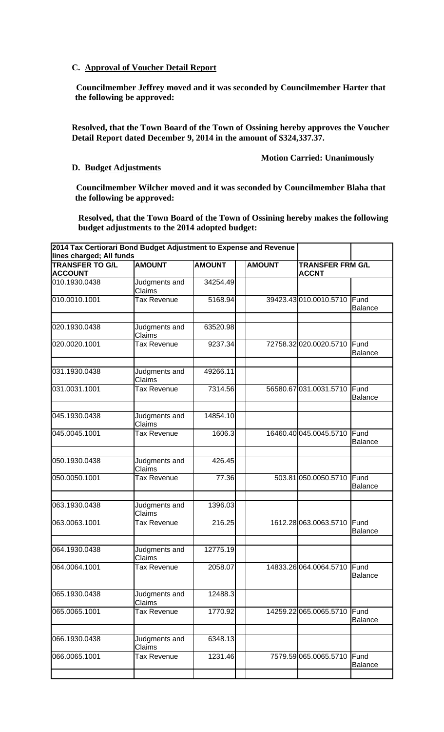# **C. Approval of Voucher Detail Report**

**Councilmember Jeffrey moved and it was seconded by Councilmember Harter that the following be approved:** 

**Resolved, that the Town Board of the Town of Ossining hereby approves the Voucher Detail Report dated December 9, 2014 in the amount of \$324,337.37.**

## **Motion Carried: Unanimously**

#### **D. Budget Adjustments**

**Councilmember Wilcher moved and it was seconded by Councilmember Blaha that the following be approved:** 

**Resolved, that the Town Board of the Town of Ossining hereby makes the following budget adjustments to the 2014 adopted budget:** 

| 2014 Tax Certiorari Bond Budget Adjustment to Expense and Revenue<br>lines charged; All funds |                         |               |               |                                         |                        |
|-----------------------------------------------------------------------------------------------|-------------------------|---------------|---------------|-----------------------------------------|------------------------|
| <b>TRANSFER TO G/L</b><br><b>ACCOUNT</b>                                                      | <b>AMOUNT</b>           | <b>AMOUNT</b> | <b>AMOUNT</b> | <b>TRANSFER FRM G/L</b><br><b>ACCNT</b> |                        |
| 010.1930.0438                                                                                 | Judgments and<br>Claims | 34254.49      |               |                                         |                        |
| 010.0010.1001                                                                                 | Tax Revenue             | 5168.94       |               | 39423.43 010.0010.5710                  | Fund<br><b>Balance</b> |
| 020.1930.0438                                                                                 | Judgments and<br>Claims | 63520.98      |               |                                         |                        |
| 020.0020.1001                                                                                 | Tax Revenue             | 9237.34       |               | 72758.32 020.0020.5710                  | Fund<br><b>Balance</b> |
| 031.1930.0438                                                                                 | Judgments and<br>Claims | 49266.11      |               |                                         |                        |
| 031.0031.1001                                                                                 | Tax Revenue             | 7314.56       |               | 56580.67 031.0031.5710                  | Fund<br>Balance        |
| 045.1930.0438                                                                                 | Judgments and<br>Claims | 14854.10      |               |                                         |                        |
| 045.0045.1001                                                                                 | Tax Revenue             | 1606.3        |               | 16460.40 045.0045.5710                  | Fund<br><b>Balance</b> |
| 050.1930.0438                                                                                 | Judgments and<br>Claims | 426.45        |               |                                         |                        |
| 050.0050.1001                                                                                 | Tax Revenue             | 77.36         |               | 503.81 050.0050.5710                    | Fund<br><b>Balance</b> |
| 063.1930.0438                                                                                 | Judgments and<br>Claims | 1396.03       |               |                                         |                        |
| 063.0063.1001                                                                                 | Tax Revenue             | 216.25        |               | 1612.28 063.0063.5710                   | Fund<br><b>Balance</b> |
| 064.1930.0438                                                                                 | Judgments and<br>Claims | 12775.19      |               |                                         |                        |
| 064.0064.1001                                                                                 | Tax Revenue             | 2058.07       |               | 14833.26 064.0064.5710 Fund             | Balance                |
| 065.1930.0438                                                                                 | Judgments and<br>Claims | 12488.3       |               |                                         |                        |
| 065.0065.1001                                                                                 | Tax Revenue             | 1770.92       |               | 14259.22 065.0065.5710                  | Fund<br><b>Balance</b> |
| 066.1930.0438                                                                                 | Judgments and<br>Claims | 6348.13       |               |                                         |                        |
| 066.0065.1001                                                                                 | Tax Revenue             | 1231.46       |               | 7579.59 065.0065.5710                   | Fund<br><b>Balance</b> |
|                                                                                               |                         |               |               |                                         |                        |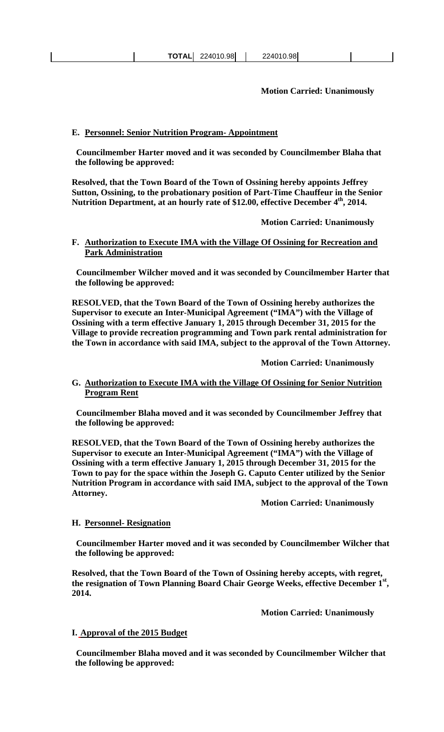**TOTAL** 224010.98 224010.98

**Motion Carried: Unanimously** 

## **E. Personnel: Senior Nutrition Program- Appointment**

**Councilmember Harter moved and it was seconded by Councilmember Blaha that the following be approved:** 

**Resolved, that the Town Board of the Town of Ossining hereby appoints Jeffrey Sutton, Ossining, to the probationary position of Part-Time Chauffeur in the Senior**  Nutrition Department, at an hourly rate of \$12.00, effective December 4<sup>th</sup>, 2014.

 **Motion Carried: Unanimously** 

## **F. Authorization to Execute IMA with the Village Of Ossining for Recreation and Park Administration**

**Councilmember Wilcher moved and it was seconded by Councilmember Harter that the following be approved:** 

**RESOLVED, that the Town Board of the Town of Ossining hereby authorizes the Supervisor to execute an Inter-Municipal Agreement ("IMA") with the Village of Ossining with a term effective January 1, 2015 through December 31, 2015 for the Village to provide recreation programming and Town park rental administration for the Town in accordance with said IMA, subject to the approval of the Town Attorney.** 

 **Motion Carried: Unanimously** 

## **G. Authorization to Execute IMA with the Village Of Ossining for Senior Nutrition Program Rent**

**Councilmember Blaha moved and it was seconded by Councilmember Jeffrey that the following be approved:** 

**RESOLVED, that the Town Board of the Town of Ossining hereby authorizes the Supervisor to execute an Inter-Municipal Agreement ("IMA") with the Village of Ossining with a term effective January 1, 2015 through December 31, 2015 for the Town to pay for the space within the Joseph G. Caputo Center utilized by the Senior Nutrition Program in accordance with said IMA, subject to the approval of the Town Attorney.** 

 **Motion Carried: Unanimously** 

## **H. Personnel- Resignation**

**Councilmember Harter moved and it was seconded by Councilmember Wilcher that the following be approved:** 

**Resolved, that the Town Board of the Town of Ossining hereby accepts, with regret, the resignation of Town Planning Board Chair George Weeks, effective December 1st, 2014.**

**Motion Carried: Unanimously**

## **I. Approval of the 2015 Budget**

**Councilmember Blaha moved and it was seconded by Councilmember Wilcher that the following be approved:**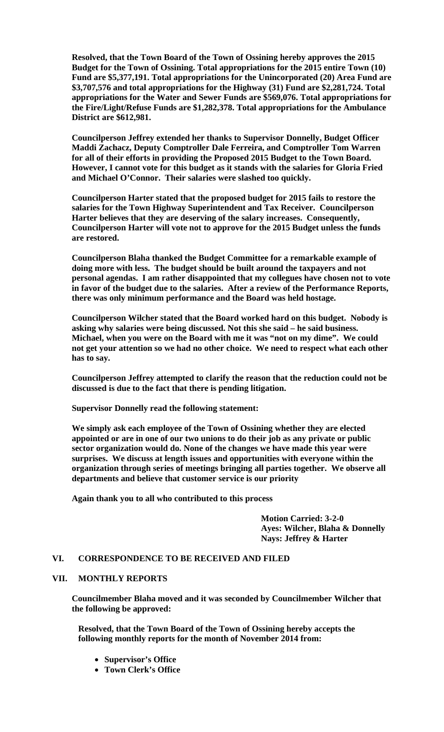**Resolved, that the Town Board of the Town of Ossining hereby approves the 2015 Budget for the Town of Ossining. Total appropriations for the 2015 entire Town (10) Fund are \$5,377,191. Total appropriations for the Unincorporated (20) Area Fund are \$3,707,576 and total appropriations for the Highway (31) Fund are \$2,281,724. Total appropriations for the Water and Sewer Funds are \$569,076. Total appropriations for the Fire/Light/Refuse Funds are \$1,282,378. Total appropriations for the Ambulance District are \$612,981.** 

**Councilperson Jeffrey extended her thanks to Supervisor Donnelly, Budget Officer Maddi Zachacz, Deputy Comptroller Dale Ferreira, and Comptroller Tom Warren for all of their efforts in providing the Proposed 2015 Budget to the Town Board. However, I cannot vote for this budget as it stands with the salaries for Gloria Fried and Michael O'Connor. Their salaries were slashed too quickly.** 

**Councilperson Harter stated that the proposed budget for 2015 fails to restore the salaries for the Town Highway Superintendent and Tax Receiver. Councilperson Harter believes that they are deserving of the salary increases. Consequently, Councilperson Harter will vote not to approve for the 2015 Budget unless the funds are restored.** 

**Councilperson Blaha thanked the Budget Committee for a remarkable example of doing more with less. The budget should be built around the taxpayers and not personal agendas. I am rather disappointed that my collegues have chosen not to vote in favor of the budget due to the salaries. After a review of the Performance Reports, there was only minimum performance and the Board was held hostage.** 

**Councilperson Wilcher stated that the Board worked hard on this budget. Nobody is asking why salaries were being discussed. Not this she said – he said business. Michael, when you were on the Board with me it was "not on my dime". We could not get your attention so we had no other choice. We need to respect what each other has to say.** 

**Councilperson Jeffrey attempted to clarify the reason that the reduction could not be discussed is due to the fact that there is pending litigation.** 

**Supervisor Donnelly read the following statement:** 

**We simply ask each employee of the Town of Ossining whether they are elected appointed or are in one of our two unions to do their job as any private or public sector organization would do. None of the changes we have made this year were surprises. We discuss at length issues and opportunities with everyone within the organization through series of meetings bringing all parties together. We observe all departments and believe that customer service is our priority** 

 **Again thank you to all who contributed to this process** 

 **Motion Carried: 3-2-0 Ayes: Wilcher, Blaha & Donnelly Nays: Jeffrey & Harter** 

#### **VI. CORRESPONDENCE TO BE RECEIVED AND FILED**

#### **VII. MONTHLY REPORTS**

**Councilmember Blaha moved and it was seconded by Councilmember Wilcher that the following be approved:** 

**Resolved, that the Town Board of the Town of Ossining hereby accepts the following monthly reports for the month of November 2014 from:** 

- **Supervisor's Office**
- **Town Clerk's Office**